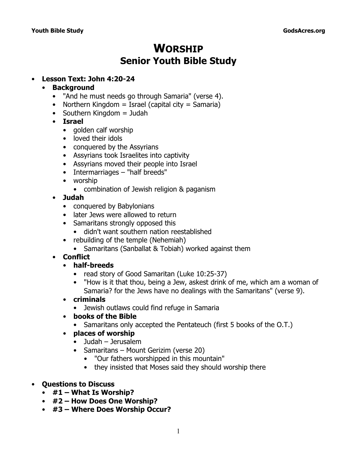# **WORSHIP Senior Youth Bible Study**

### • **Lesson Text: John 4:20-24**

#### • **Background**

- *"And he must needs go through Samaria"* (verse 4).
- Northern Kingdom = Israel (capital city = Samaria)
- Southern Kingdom = Judah
- **Israel**
	- golden calf worship
	- loved their idols
	- conquered by the Assyrians
	- Assyrians took Israelites into captivity
	- Assyrians moved their people into Israel
	- Intermarriages "half breeds"
	- worship
		- combination of Jewish religion & paganism
- **Judah**
	- conquered by Babylonians
	- later Jews were allowed to return
	- Samaritans strongly opposed this
		- didn't want southern nation reestablished
	- rebuilding of the temple (Nehemiah)
		- Samaritans (Sanballat & Tobiah) worked against them
- **Conflict**
	- **half-breeds**
		- read story of Good Samaritan (Luke 10:25-37)
		- *"How is it that thou, being a Jew, askest drink of me, which am a woman of* Samaria? for the Jews have no dealings with the Samaritans" (verse 9).
	- **criminals**
		- Jewish outlaws could find refuge in Samaria
	- **books of the Bible**
		- Samaritans only accepted the Pentateuch (first 5 books of the O.T.)
	- **places of worship**
		- Judah Jerusalem
		- Samaritans Mount Gerizim (verse 20)
			- *"Our fathers worshipped in this mountain"*
			- they insisted that Moses said they should worship there
- **Questions to Discuss**
	- **#1 What Is Worship?**
	- **#2 How Does One Worship?**
	- **#3 – Where Does Worship Occur?**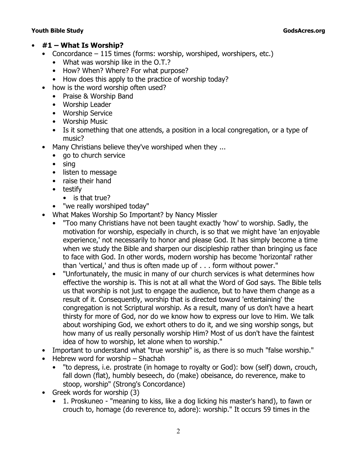### • **#1 – What Is Worship?**

- Concordance 115 times (forms: worship, worshiped, worshipers, etc.)
	- What was worship like in the O.T.?
	- How? When? Where? For what purpose?
	- How does this apply to the practice of worship today?
- how is the word *worship* often used?
	- Praise & Worship Band
	- Worship Leader
	- Worship Service
	- Worship Music
	- Is it something that one attends, a position in a local congregation, or a type of music?
- Many Christians believe they've worshiped when they ...
	- go to church service
	- sing
	- listen to message
	- raise their hand
	- testify
		- is that true?
	- "we really worshiped today"
- *What Makes Worship So Important?* by Nancy Missler
	- "Too many Christians have not been taught exactly 'how' to worship. Sadly, the motivation for worship, especially in church, is so that we might have 'an enjoyable experience,' not necessarily to honor and please God. It has simply become a time when we study the Bible and sharpen our discipleship rather than bringing us face to face with God. In other words, modern worship has become 'horizontal' rather than 'vertical,' and thus is often made up of . . . form without power."
	- "Unfortunately, the music in many of our church services is what determines how effective the worship is. This is not at all what the Word of God says. The Bible tells us that worship is not just to engage the audience, but to have them change as a result of it. Consequently, worship that is directed toward 'entertaining' the congregation is not Scriptural worship. As a result, many of us don't have a heart thirsty for more of God, nor do we know how to express our love to Him. We talk about worshiping God, we exhort others to do it, and we sing worship songs, but how many of us really personally worship Him? Most of us don't have the faintest idea of how to worship, let alone when to worship."
- Important to understand what "true worship" is, as there is so much "false worship."
- Hebrew word for worship *Shachah*
	- "to depress, i.e. prostrate (in homage to royalty or God): bow (self) down, crouch, fall down (flat), humbly beseech, do (make) obeisance, do reverence, make to stoop, worship" (*Strong's Concordance*)
- Greek words for worship (3)
	- 1. *Proskuneo* "meaning to kiss, like a dog licking his master's hand), to fawn or crouch to, homage (do reverence to, adore): worship." It occurs 59 times in the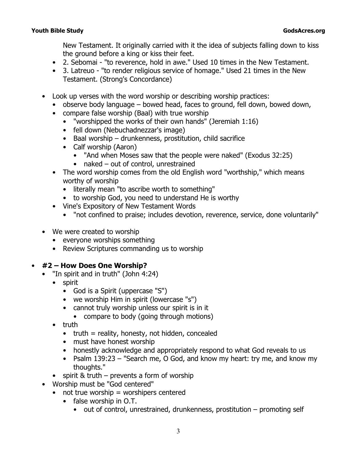New Testament. It originally carried with it the idea of subjects falling down to kiss the ground before a king or kiss their feet.

- 2. *Sebomai* "to reverence, hold in awe." Used 10 times in the New Testament.
- 3. *Latreuo*  "to render religious service of homage." Used 21 times in the New Testament. (*Strong's Concordance*)
- Look up verses with the word *worship* or describing worship practices:
	- observe body language bowed head, faces to ground, fell down, bowed down,
	- compare false worship (Baal) with true worship
		- *"worshipped the works of their own hands"* (Jeremiah 1:16)
		- fell down (Nebuchadnezzar's image)
		- Baal worship drunkenness, prostitution, child sacrifice
		- Calf worship (Aaron)
			- *"And when Moses saw that the people were naked"* (Exodus 32:25)
			- naked out of control, unrestrained
	- The word *worship* comes from the old English word "worthship," which means worthy of worship
		- literally mean "to ascribe worth to something"
		- to worship God, you need to understand He is worthy
	- *Vine's Expository of New Testament Words*
		- "not confined to praise; includes devotion, reverence, service, done voluntarily"
- We were created to worship
	- everyone worships something
	- Review Scriptures commanding us to worship

## • **#2 – How Does One Worship?**

- *"In spirit and in truth" (*John 4:24)
	- spirit
		- God is a Spirit (uppercase "S")
		- we worship Him in spirit (lowercase "s")
		- cannot truly worship unless our spirit is in it • compare to body (going through motions)
	- truth
		- $\bullet$  truth = reality, honesty, not hidden, concealed
		- must have honest worship
		- honestly acknowledge and appropriately respond to what God reveals to us
		- Psalm 139:23 *"Search me, O God, and know my heart: try me, and know my thoughts."*
	- spirit & truth prevents a form of worship
- Worship must be "God centered"
	- $\bullet$  not true worship = worshipers centered
		- false worship in O.T.
			- out of control, unrestrained, drunkenness, prostitution promoting self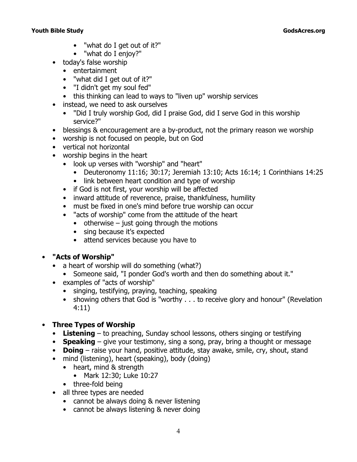- "what do I get out of it?"
- "what do I enjoy?"
- today's false worship
	- entertainment
	- "what did I get out of it?"
	- "I didn't get my soul fed"
	- this thinking can lead to ways to "liven up" worship services
- instead, we need to ask ourselves
	- "Did I truly worship God, did I praise God, did I serve God in this worship service?"
- blessings & encouragement are a by-product, not the primary reason we worship
- worship is not focused on people, but on God
- vertical not horizontal
- worship begins in the heart
	- look up verses with "worship" and "heart"
		- Deuteronomy 11:16; 30:17; Jeremiah 13:10; Acts 16:14; 1 Corinthians 14:25
		- link between heart condition and type of worship
	- if God is not first, your worship will be affected
	- inward attitude of reverence, praise, thankfulness, humility
	- must be fixed in one's mind before true worship can occur
	- "acts of worship" come from the attitude of the heart
		- $\bullet$  otherwise just going through the motions
		- sing because it's expected
		- attend services because you have to

## • **"Acts of Worship"**

- a heart of worship will do something (what?)
	- Someone said, "I ponder God's worth and then do something about it."
- examples of "acts of worship"
	- singing, testifying, praying, teaching, speaking
	- showing others that God is *"worthy . . . to receive glory and honour"* (Revelation 4:11)

## • **Three Types of Worship**

- **Listening**  to preaching, Sunday school lessons, others singing or testifying
- **Speaking** give your testimony, sing a song, pray, bring a thought or message
- **Doing**  raise your hand, positive attitude, stay awake, smile, cry, shout, stand
- mind (listening), heart (speaking), body (doing)
	- heart, mind & strength
		- Mark 12:30; Luke 10:27
	- three-fold being
- all three types are needed
	- cannot be always doing & never listening
	- cannot be always listening & never doing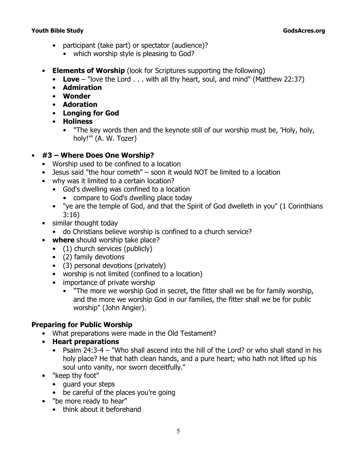- participant (take part) or spectator (audience)?
	- which worship style is pleasing to God?
- **Elements of Worship** (look for Scriptures supporting the following)
	- **Love** *"love the Lord . . . with all thy heart, soul, and mind"* (Matthew 22:37)
	- **Admiration**
	- **Wonder**
	- **Adoration**
	- **Longing for God**
	- **Holiness**
		- "The key words then and the keynote still of our worship must be, 'Holy, holy, holy!'" (A. W. Tozer)

## • **#3 – Where Does One Worship?**

- Worship used to be confined to a location
- Jesus said "the hour cometh" soon it would NOT be limited to a location
- why was it limited to a certain location?
	- God's dwelling was confined to a location
		- compare to God's dwelling place today
	- *"ye are the temple of God, and that the Spirit of God dwelleth in you"* (1 Corinthians 3:16)
- similar thought today
	- do Christians believe worship is confined to a church service?
- **where** should worship take place?
	- (1) church services (publicly)
	- (2) family devotions
	- (3) personal devotions (privately)
	- worship is not limited (confined to a location)
	- importance of private worship
		- "The more we worship God in secret, the fitter shall we be for family worship, and the more we worship God in our families, the fitter shall we be for public worship" (John Angier).

## **Preparing for Public Worship**

- What preparations were made in the Old Testament?
- **Heart preparations**
	- Psalm 24:3-4  *"Who shall ascend into the hill of the Lord? or who shall stand in his holy place? He that hath clean hands, and a pure heart; who hath not lifted up his soul unto vanity, nor sworn deceitfully."*
- *"keep thy foot"* 
	- guard your steps
	- be careful of the places you're going
- *"be more ready to hear"*
	- think about it beforehand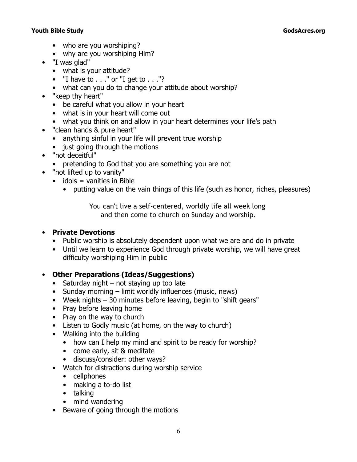- who are you worshiping?
- why are you worshiping Him?
- *"I was glad"*
	- what is your attitude?
	- "I have to . . ." or "I get to . . ."?
	- what can you do to change your attitude about worship?
- *"keep thy heart"* 
	- be careful what you allow in your heart
	- what is in your heart will come out
	- what you think on and allow in your heart determines your life's path
- *"clean hands & pure heart"*
	- anything sinful in your life will prevent true worship
	- just going through the motions
- *"not deceitful"*
	- pretending to God that you are something you are not
- *"not lifted up to vanity"*
	- $\bullet$  idols = vanities in Bible
		- putting value on the vain things of this life (such as honor, riches, pleasures)

You can't live a self-centered, worldly life all week long and then come to church on Sunday and worship.

## • **Private Devotions**

- Public worship is absolutely dependent upon what we are and do in private
- Until we learn to experience God through private worship, we will have great difficulty worshiping Him in public

## • **Other Preparations (Ideas/Suggestions)**

- Saturday night not staying up too late
- Sunday morning limit worldly influences (music, news)
- Week nights 30 minutes before leaving, begin to "shift gears"
- Pray before leaving home
- Pray on the way to church
- Listen to Godly music (at home, on the way to church)
- Walking into the building
	- how can I help my mind and spirit to be ready for worship?
	- come early, sit & meditate
	- discuss/consider: other ways?
- Watch for distractions during worship service
	- cellphones
	- making a to-do list
	- talking
	- mind wandering
- Beware of going through the motions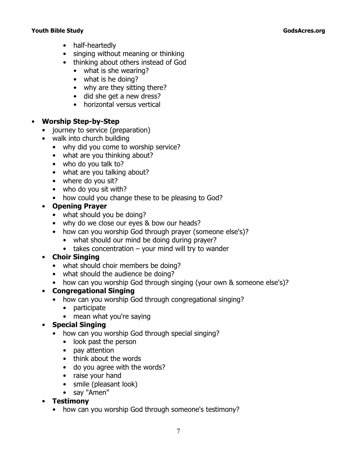- half-heartedly
- singing without meaning or thinking
- thinking about others instead of God
	- what is she wearing?
	- what is he doing?
	- why are they sitting there?
	- did she get a new dress?
	- horizontal versus vertical

## • **Worship Step-by-Step**

- journey to service (preparation)
- walk into church building
	- why did you come to worship service?
	- what are you thinking about?
	- who do you talk to?
	- what are you talking about?
	- where do you sit?
	- who do you sit with?
	- how could you change these to be pleasing to God?

## • **Opening Prayer**

- what should you be doing?
- why do we close our eyes & bow our heads?
- how can you worship God through prayer (someone else's)?
	- what should our mind be doing during prayer?
	- takes concentration your mind will try to wander
- **Choir Singing**
	- what should choir members be doing?
	- what should the audience be doing?
	- how can you worship God through singing (your own & someone else's)?

## • **Congregational Singing**

- how can you worship God through congregational singing?
	- participate
	- mean what you're saying

## • **Special Singing**

- how can you worship God through special singing?
	- look past the person
	- pay attention
	- think about the words
	- do you agree with the words?
	- raise your hand
	- smile (pleasant look)
	- say "Amen"
- **Testimony**
	- how can you worship God through someone's testimony?